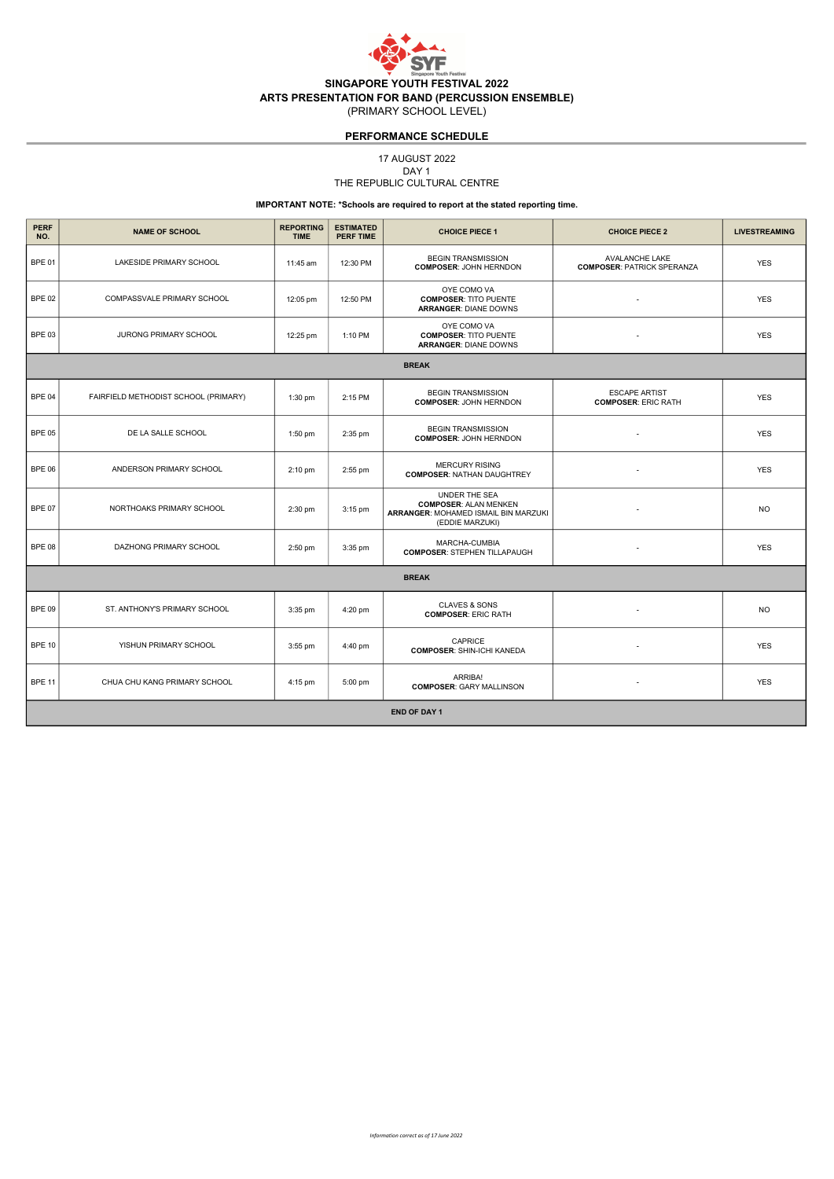

# PERFORMANCE SCHEDULE

17 AUGUST 2022

### THE REPUBLIC CULTURAL CENTRE DAY 1

## IMPORTANT NOTE: \*Schools are required to report at the stated reporting time.

| <b>PERF</b><br>NO.  | <b>NAME OF SCHOOL</b>                | <b>REPORTING</b><br><b>TIME</b> | <b>ESTIMATED</b><br><b>PERF TIME</b> | <b>CHOICE PIECE 1</b>                                                                                    | <b>CHOICE PIECE 2</b>                               | <b>LIVESTREAMING</b> |  |  |
|---------------------|--------------------------------------|---------------------------------|--------------------------------------|----------------------------------------------------------------------------------------------------------|-----------------------------------------------------|----------------------|--|--|
| <b>BPE 01</b>       | LAKESIDE PRIMARY SCHOOL              | 11:45 am                        | 12:30 PM                             | <b>BEGIN TRANSMISSION</b><br><b>COMPOSER: JOHN HERNDON</b>                                               | AVALANCHE LAKE<br><b>COMPOSER: PATRICK SPERANZA</b> | <b>YES</b>           |  |  |
| <b>BPE 02</b>       | COMPASSVALE PRIMARY SCHOOL           | 12:05 pm                        | 12:50 PM                             | OYE COMO VA<br><b>COMPOSER: TITO PUENTE</b><br><b>ARRANGER: DIANE DOWNS</b>                              |                                                     | <b>YES</b>           |  |  |
| <b>BPE 03</b>       | JURONG PRIMARY SCHOOL                | 12:25 pm                        | 1:10 PM                              | OYE COMO VA<br><b>COMPOSER: TITO PUENTE</b><br><b>ARRANGER: DIANE DOWNS</b>                              |                                                     | <b>YES</b>           |  |  |
| <b>BREAK</b>        |                                      |                                 |                                      |                                                                                                          |                                                     |                      |  |  |
| <b>BPE 04</b>       | FAIRFIELD METHODIST SCHOOL (PRIMARY) | $1:30$ pm                       | 2:15 PM                              | <b>BEGIN TRANSMISSION</b><br><b>COMPOSER: JOHN HERNDON</b>                                               | <b>ESCAPE ARTIST</b><br><b>COMPOSER: ERIC RATH</b>  | <b>YES</b>           |  |  |
| <b>BPE 05</b>       | DE LA SALLE SCHOOL                   | 1:50 pm                         | 2:35 pm                              | <b>BEGIN TRANSMISSION</b><br><b>COMPOSER: JOHN HERNDON</b>                                               | $\overline{\phantom{a}}$                            | <b>YES</b>           |  |  |
| <b>BPE 06</b>       | ANDERSON PRIMARY SCHOOL              | 2:10 pm                         | 2:55 pm                              | <b>MERCURY RISING</b><br><b>COMPOSER: NATHAN DAUGHTREY</b>                                               |                                                     | <b>YES</b>           |  |  |
| <b>BPE 07</b>       | NORTHOAKS PRIMARY SCHOOL             | 2:30 pm                         | $3:15$ pm                            | UNDER THE SEA<br><b>COMPOSER: ALAN MENKEN</b><br>ARRANGER: MOHAMED ISMAIL BIN MARZUKI<br>(EDDIE MARZUKI) | $\overline{\phantom{a}}$                            | <b>NO</b>            |  |  |
| <b>BPE 08</b>       | DAZHONG PRIMARY SCHOOL               | 2:50 pm                         | 3:35 pm                              | MARCHA-CUMBIA<br><b>COMPOSER: STEPHEN TILLAPAUGH</b>                                                     |                                                     | <b>YES</b>           |  |  |
| <b>BREAK</b>        |                                      |                                 |                                      |                                                                                                          |                                                     |                      |  |  |
| <b>BPE 09</b>       | ST. ANTHONY'S PRIMARY SCHOOL         | 3:35 pm                         | 4:20 pm                              | <b>CLAVES &amp; SONS</b><br><b>COMPOSER: ERIC RATH</b>                                                   |                                                     | <b>NO</b>            |  |  |
| <b>BPE 10</b>       | YISHUN PRIMARY SCHOOL                | $3:55$ pm                       | 4:40 pm                              | CAPRICE<br><b>COMPOSER: SHIN-ICHI KANEDA</b>                                                             |                                                     | <b>YES</b>           |  |  |
| <b>BPE 11</b>       | CHUA CHU KANG PRIMARY SCHOOL         | 4:15 pm                         | 5:00 pm                              | ARRIBA!<br><b>COMPOSER: GARY MALLINSON</b>                                                               |                                                     | <b>YES</b>           |  |  |
| <b>END OF DAY 1</b> |                                      |                                 |                                      |                                                                                                          |                                                     |                      |  |  |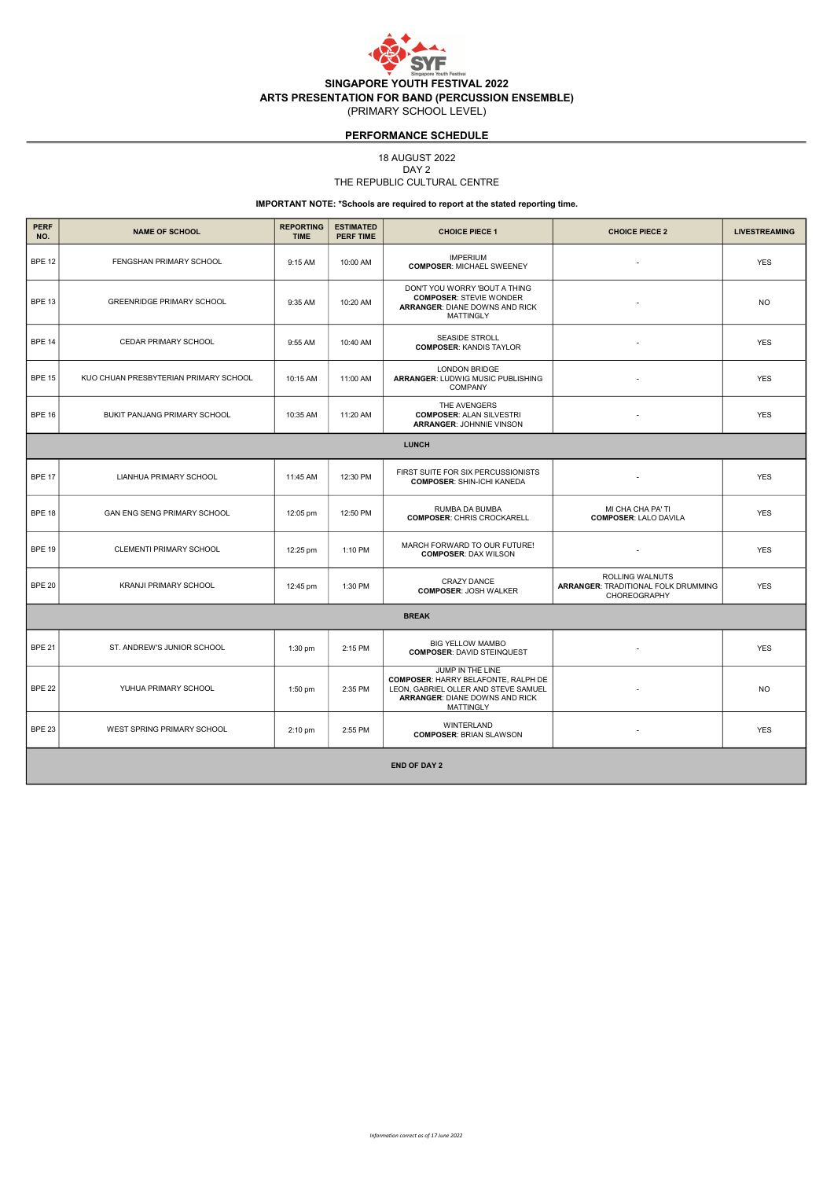

# PERFORMANCE SCHEDULE

18 AUGUST 2022

### THE REPUBLIC CULTURAL CENTRE DAY 2

IMPORTANT NOTE: \*Schools are required to report at the stated reporting time.

| <b>PERF</b><br>NO.  | <b>NAME OF SCHOOL</b>                 | <b>REPORTING</b><br><b>TIME</b> | <b>ESTIMATED</b><br><b>PERF TIME</b> | <b>CHOICE PIECE 1</b>                                                                                                                                               | <b>CHOICE PIECE 2</b>                                                  | <b>LIVESTREAMING</b> |  |  |
|---------------------|---------------------------------------|---------------------------------|--------------------------------------|---------------------------------------------------------------------------------------------------------------------------------------------------------------------|------------------------------------------------------------------------|----------------------|--|--|
| <b>BPE 12</b>       | FENGSHAN PRIMARY SCHOOL               | 9:15 AM                         | 10:00 AM                             | <b>IMPERIUM</b><br><b>COMPOSER: MICHAEL SWEENEY</b>                                                                                                                 |                                                                        | <b>YES</b>           |  |  |
| <b>BPE 13</b>       | <b>GREENRIDGE PRIMARY SCHOOL</b>      | 9:35 AM                         | 10:20 AM                             | DON'T YOU WORRY 'BOUT A THING<br><b>COMPOSER: STEVIE WONDER</b><br>ARRANGER: DIANE DOWNS AND RICK<br><b>MATTINGLY</b>                                               |                                                                        | <b>NO</b>            |  |  |
| <b>BPE 14</b>       | <b>CEDAR PRIMARY SCHOOL</b>           | 9:55 AM                         | 10:40 AM                             | <b>SEASIDE STROLL</b><br><b>COMPOSER: KANDIS TAYLOR</b>                                                                                                             | $\sim$                                                                 | <b>YES</b>           |  |  |
| <b>BPE 15</b>       | KUO CHUAN PRESBYTERIAN PRIMARY SCHOOL | 10:15 AM                        | 11:00 AM                             | <b>LONDON BRIDGE</b><br>ARRANGER: LUDWIG MUSIC PUBLISHING<br><b>COMPANY</b>                                                                                         |                                                                        | <b>YES</b>           |  |  |
| <b>BPE 16</b>       | BUKIT PANJANG PRIMARY SCHOOL          | 10:35 AM                        | 11:20 AM                             | THE AVENGERS<br><b>COMPOSER: ALAN SILVESTRI</b><br><b>ARRANGER: JOHNNIE VINSON</b>                                                                                  |                                                                        | <b>YES</b>           |  |  |
| <b>LUNCH</b>        |                                       |                                 |                                      |                                                                                                                                                                     |                                                                        |                      |  |  |
| <b>BPE 17</b>       | LIANHUA PRIMARY SCHOOL                | 11:45 AM                        | 12:30 PM                             | FIRST SUITE FOR SIX PERCUSSIONISTS<br><b>COMPOSER: SHIN-ICHI KANEDA</b>                                                                                             |                                                                        | <b>YES</b>           |  |  |
| <b>BPE 18</b>       | GAN ENG SENG PRIMARY SCHOOL           | 12:05 pm                        | 12:50 PM                             | RUMBA DA BUMBA<br><b>COMPOSER: CHRIS CROCKARELL</b>                                                                                                                 | MI CHA CHA PA' TI<br><b>COMPOSER: LALO DAVILA</b>                      | <b>YES</b>           |  |  |
| <b>BPE 19</b>       | CLEMENTI PRIMARY SCHOOL               | 12:25 pm                        | 1:10 PM                              | MARCH FORWARD TO OUR FUTURE!<br><b>COMPOSER: DAX WILSON</b>                                                                                                         |                                                                        | <b>YES</b>           |  |  |
| <b>BPE 20</b>       | <b>KRANJI PRIMARY SCHOOL</b>          | 12:45 pm                        | 1:30 PM                              | <b>CRAZY DANCE</b><br><b>COMPOSER: JOSH WALKER</b>                                                                                                                  | ROLLING WALNUTS<br>ARRANGER: TRADITIONAL FOLK DRUMMING<br>CHOREOGRAPHY | <b>YES</b>           |  |  |
| <b>BREAK</b>        |                                       |                                 |                                      |                                                                                                                                                                     |                                                                        |                      |  |  |
| <b>BPE 21</b>       | ST. ANDREW'S JUNIOR SCHOOL            | 1:30 pm                         | 2:15 PM                              | <b>BIG YELLOW MAMBO</b><br><b>COMPOSER: DAVID STEINQUEST</b>                                                                                                        | $\blacksquare$                                                         | <b>YES</b>           |  |  |
| <b>BPE 22</b>       | YUHUA PRIMARY SCHOOL                  | 1:50 pm                         | 2:35 PM                              | JUMP IN THE LINE<br><b>COMPOSER: HARRY BELAFONTE, RALPH DE</b><br>LEON, GABRIEL OLLER AND STEVE SAMUEL<br><b>ARRANGER: DIANE DOWNS AND RICK</b><br><b>MATTINGLY</b> |                                                                        | N <sub>O</sub>       |  |  |
| <b>BPE 23</b>       | WEST SPRING PRIMARY SCHOOL            | 2:10 pm                         | 2:55 PM                              | WINTERLAND<br><b>COMPOSER: BRIAN SLAWSON</b>                                                                                                                        |                                                                        | <b>YES</b>           |  |  |
| <b>END OF DAY 2</b> |                                       |                                 |                                      |                                                                                                                                                                     |                                                                        |                      |  |  |